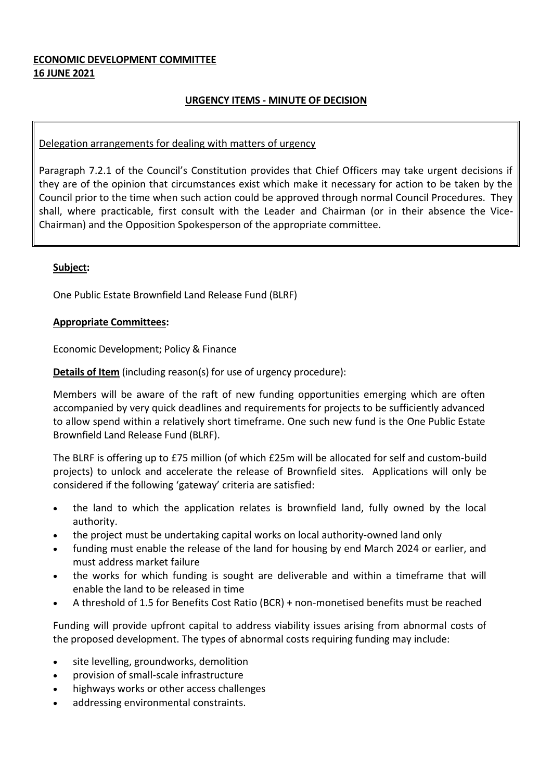# **ECONOMIC DEVELOPMENT COMMITTEE 16 JUNE 2021**

# **URGENCY ITEMS - MINUTE OF DECISION**

### Delegation arrangements for dealing with matters of urgency

Paragraph 7.2.1 of the Council's Constitution provides that Chief Officers may take urgent decisions if they are of the opinion that circumstances exist which make it necessary for action to be taken by the Council prior to the time when such action could be approved through normal Council Procedures. They shall, where practicable, first consult with the Leader and Chairman (or in their absence the Vice-Chairman) and the Opposition Spokesperson of the appropriate committee.

## **Subject:**

One Public Estate Brownfield Land Release Fund (BLRF)

### **Appropriate Committees:**

Economic Development; Policy & Finance

**Details of Item** (including reason(s) for use of urgency procedure):

Members will be aware of the raft of new funding opportunities emerging which are often accompanied by very quick deadlines and requirements for projects to be sufficiently advanced to allow spend within a relatively short timeframe. One such new fund is the One Public Estate Brownfield Land Release Fund (BLRF).

The BLRF is offering up to £75 million (of which £25m will be allocated for self and custom-build projects) to unlock and accelerate the release of Brownfield sites. Applications will only be considered if the following 'gateway' criteria are satisfied:

- the land to which the application relates is brownfield land, fully owned by the local authority.
- the project must be undertaking capital works on local authority-owned land only
- funding must enable the release of the land for housing by end March 2024 or earlier, and must address market failure
- the works for which funding is sought are deliverable and within a timeframe that will enable the land to be released in time
- A threshold of 1.5 for Benefits Cost Ratio (BCR) + non-monetised benefits must be reached

Funding will provide upfront capital to address viability issues arising from abnormal costs of the proposed development. The types of abnormal costs requiring funding may include:

- site levelling, groundworks, demolition
- provision of small-scale infrastructure
- highways works or other access challenges
- addressing environmental constraints.